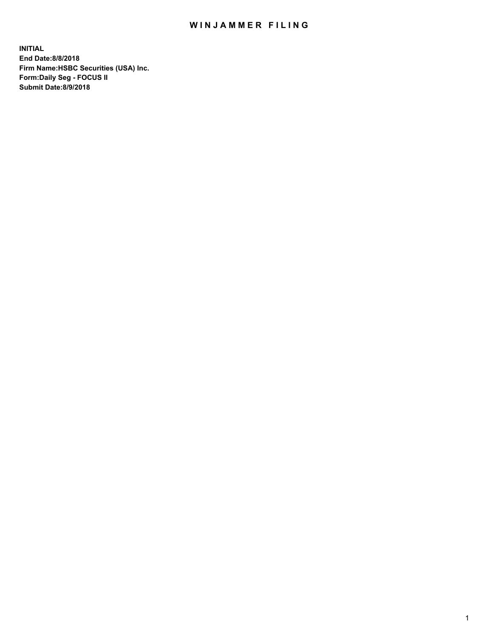## WIN JAMMER FILING

**INITIAL End Date:8/8/2018 Firm Name:HSBC Securities (USA) Inc. Form:Daily Seg - FOCUS II Submit Date:8/9/2018**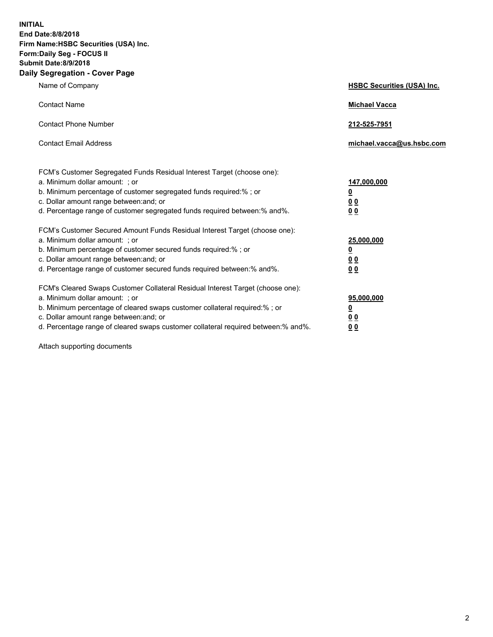**INITIAL End Date:8/8/2018 Firm Name:HSBC Securities (USA) Inc. Form:Daily Seg - FOCUS II Submit Date:8/9/2018 Daily Segregation - Cover Page**

| Name of Company                                                                                                                                                                                                                                                                                                                | <b>HSBC Securities (USA) Inc.</b>                                          |
|--------------------------------------------------------------------------------------------------------------------------------------------------------------------------------------------------------------------------------------------------------------------------------------------------------------------------------|----------------------------------------------------------------------------|
| <b>Contact Name</b>                                                                                                                                                                                                                                                                                                            | <b>Michael Vacca</b>                                                       |
| <b>Contact Phone Number</b>                                                                                                                                                                                                                                                                                                    | 212-525-7951                                                               |
| <b>Contact Email Address</b>                                                                                                                                                                                                                                                                                                   | michael.vacca@us.hsbc.com                                                  |
| FCM's Customer Segregated Funds Residual Interest Target (choose one):<br>a. Minimum dollar amount: ; or<br>b. Minimum percentage of customer segregated funds required:% ; or<br>c. Dollar amount range between: and; or<br>d. Percentage range of customer segregated funds required between:% and%.                         | 147,000,000<br>$\overline{\mathbf{0}}$<br>0 <sub>0</sub><br>0 <sub>0</sub> |
| FCM's Customer Secured Amount Funds Residual Interest Target (choose one):<br>a. Minimum dollar amount: ; or<br>b. Minimum percentage of customer secured funds required:%; or<br>c. Dollar amount range between: and; or<br>d. Percentage range of customer secured funds required between:% and%.                            | 25,000,000<br><u>0</u><br>0 <sub>0</sub><br>0 <sub>0</sub>                 |
| FCM's Cleared Swaps Customer Collateral Residual Interest Target (choose one):<br>a. Minimum dollar amount: ; or<br>b. Minimum percentage of cleared swaps customer collateral required:% ; or<br>c. Dollar amount range between: and; or<br>d. Percentage range of cleared swaps customer collateral required between:% and%. | 95,000,000<br><u>0</u><br><u>00</u><br>00                                  |

Attach supporting documents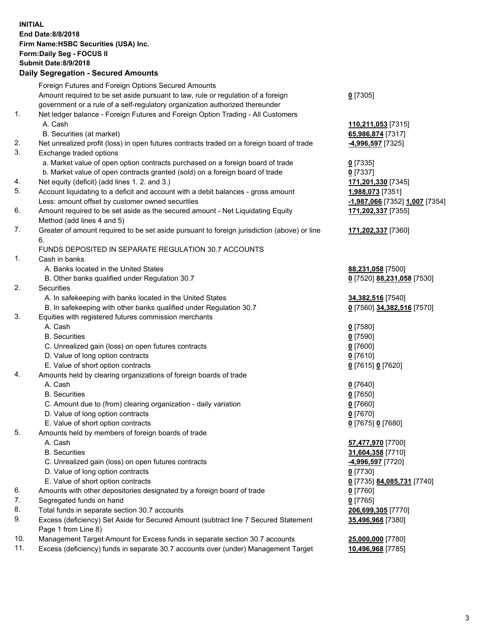**INITIAL End Date:8/8/2018 Firm Name:HSBC Securities (USA) Inc. Form:Daily Seg - FOCUS II Submit Date:8/9/2018 Daily Segregation - Secured Amounts** Foreign Futures and Foreign Options Secured Amounts Amount required to be set aside pursuant to law, rule or regulation of a foreign government or a rule of a self-regulatory organization authorized thereunder **0** [7305] 1. Net ledger balance - Foreign Futures and Foreign Option Trading - All Customers A. Cash **110,211,053** [7315] B. Securities (at market) **65,986,874** [7317] 2. Net unrealized profit (loss) in open futures contracts traded on a foreign board of trade **-4,996,597** [7325] 3. Exchange traded options a. Market value of open option contracts purchased on a foreign board of trade **0** [7335] b. Market value of open contracts granted (sold) on a foreign board of trade **0** [7337] 4. Net equity (deficit) (add lines 1. 2. and 3.) **171,201,330** [7345] 5. Account liquidating to a deficit and account with a debit balances - gross amount **1,988,073** [7351] Less: amount offset by customer owned securities **-1,987,066** [7352] **1,007** [7354] 6. Amount required to be set aside as the secured amount - Net Liquidating Equity Method (add lines 4 and 5) **171,202,337** [7355] 7. Greater of amount required to be set aside pursuant to foreign jurisdiction (above) or line 6. **171,202,337** [7360] FUNDS DEPOSITED IN SEPARATE REGULATION 30.7 ACCOUNTS 1. Cash in banks A. Banks located in the United States **88,231,058** [7500] B. Other banks qualified under Regulation 30.7 **0** [7520] **88,231,058** [7530] 2. Securities A. In safekeeping with banks located in the United States **34,382,516** [7540] B. In safekeeping with other banks qualified under Regulation 30.7 **0** [7560] **34,382,516** [7570] 3. Equities with registered futures commission merchants A. Cash **0** [7580] B. Securities **0** [7590] C. Unrealized gain (loss) on open futures contracts **0** [7600] D. Value of long option contracts **0** [7610] E. Value of short option contracts **0** [7615] **0** [7620] 4. Amounts held by clearing organizations of foreign boards of trade A. Cash **0** [7640] B. Securities **0** [7650] C. Amount due to (from) clearing organization - daily variation **0** [7660] D. Value of long option contracts **0** [7670] E. Value of short option contracts **0** [7675] **0** [7680] 5. Amounts held by members of foreign boards of trade A. Cash **57,477,970** [7700] B. Securities **31,604,358** [7710] C. Unrealized gain (loss) on open futures contracts **-4,996,597** [7720] D. Value of long option contracts **0** [7730] E. Value of short option contracts **0** [7735] **84,085,731** [7740] 6. Amounts with other depositories designated by a foreign board of trade **0** [7760] 7. Segregated funds on hand **0** [7765] 8. Total funds in separate section 30.7 accounts **206,699,305** [7770] 9. Excess (deficiency) Set Aside for Secured Amount (subtract line 7 Secured Statement Page 1 from Line 8) **35,496,968** [7380] 10. Management Target Amount for Excess funds in separate section 30.7 accounts **25,000,000** [7780] 11. Excess (deficiency) funds in separate 30.7 accounts over (under) Management Target **10,496,968** [7785]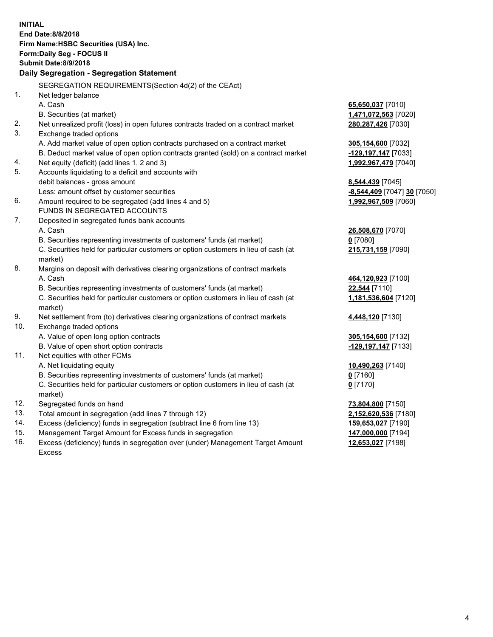|     | <b>INITIAL</b><br>End Date:8/8/2018                                                            |                             |
|-----|------------------------------------------------------------------------------------------------|-----------------------------|
|     | Firm Name: HSBC Securities (USA) Inc.                                                          |                             |
|     | Form: Daily Seg - FOCUS II                                                                     |                             |
|     | <b>Submit Date: 8/9/2018</b>                                                                   |                             |
|     | Daily Segregation - Segregation Statement                                                      |                             |
|     | SEGREGATION REQUIREMENTS(Section 4d(2) of the CEAct)                                           |                             |
| 1.  | Net ledger balance                                                                             |                             |
|     | A. Cash                                                                                        | 65,650,037 [7010]           |
|     | B. Securities (at market)                                                                      | 1,471,072,563 [7020]        |
| 2.  | Net unrealized profit (loss) in open futures contracts traded on a contract market             | 280, 287, 426 [7030]        |
| 3.  | Exchange traded options                                                                        |                             |
|     | A. Add market value of open option contracts purchased on a contract market                    | 305,154,600 [7032]          |
|     | B. Deduct market value of open option contracts granted (sold) on a contract market            | -129,197,147 [7033]         |
| 4.  | Net equity (deficit) (add lines 1, 2 and 3)                                                    | 1,992,967,479 [7040]        |
| 5.  | Accounts liquidating to a deficit and accounts with                                            |                             |
|     | debit balances - gross amount                                                                  | 8,544,439 [7045]            |
|     | Less: amount offset by customer securities                                                     | -8,544,409 [7047] 30 [7050] |
| 6.  | Amount required to be segregated (add lines 4 and 5)                                           | 1,992,967,509 [7060]        |
|     | FUNDS IN SEGREGATED ACCOUNTS                                                                   |                             |
| 7.  | Deposited in segregated funds bank accounts                                                    |                             |
|     | A. Cash                                                                                        | 26,508,670 [7070]           |
|     | B. Securities representing investments of customers' funds (at market)                         | $0$ [7080]                  |
|     | C. Securities held for particular customers or option customers in lieu of cash (at            | 215,731,159 [7090]          |
|     | market)                                                                                        |                             |
| 8.  | Margins on deposit with derivatives clearing organizations of contract markets                 |                             |
|     | A. Cash                                                                                        | 464,120,923 [7100]          |
|     | B. Securities representing investments of customers' funds (at market)                         | 22,544 [7110]               |
|     | C. Securities held for particular customers or option customers in lieu of cash (at<br>market) | 1,181,536,604 [7120]        |
| 9.  | Net settlement from (to) derivatives clearing organizations of contract markets                | 4,448,120 [7130]            |
| 10. | Exchange traded options                                                                        |                             |
|     | A. Value of open long option contracts                                                         | 305,154,600 [7132]          |
|     | B. Value of open short option contracts                                                        | -129,197,147 [7133]         |
| 11. | Net equities with other FCMs                                                                   |                             |
|     | A. Net liquidating equity                                                                      | 10,490,263 [7140]           |
|     | B. Securities representing investments of customers' funds (at market)                         | $0$ [7160]                  |
|     | C. Securities held for particular customers or option customers in lieu of cash (at            | $0$ [7170]                  |
|     | market)                                                                                        |                             |
| 12. | Segregated funds on hand                                                                       | 73,804,800 [7150]           |
| 13. | Total amount in segregation (add lines 7 through 12)                                           | 2,152,620,536 [7180]        |
| 14. | Excess (deficiency) funds in segregation (subtract line 6 from line 13)                        | 159,653,027 [7190]          |
| 15. | Management Target Amount for Excess funds in segregation                                       | 147,000,000 [7194]          |
| 16. | Excess (deficiency) funds in segregation over (under) Management Target Amount                 | 12,653,027 [7198]           |

Excess